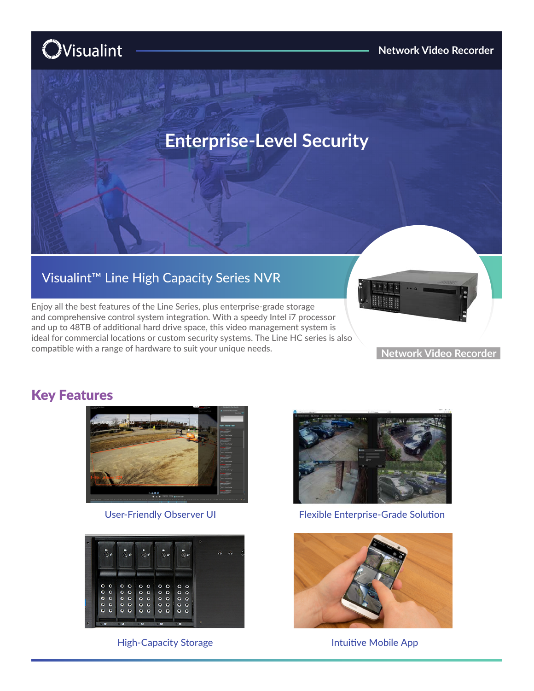# **O**Visualint



## Visualint™ Line High Capacity Series NVR

Enjoy all the best features of the Line Series, plus enterprise-grade storage and comprehensive control system integration. With a speedy Intel i7 processor and up to 48TB of additional hard drive space, this video management system is ideal for commercial locations or custom security systems. The Line HC series is also compatible with a range of hardware to suit your unique needs.



#### **Network Video Recorder**

### Key Features



User-Friendly Observer UI



High-Capacity Storage **Intuitive Mobile App** 



Flexible Enterprise-Grade Solution